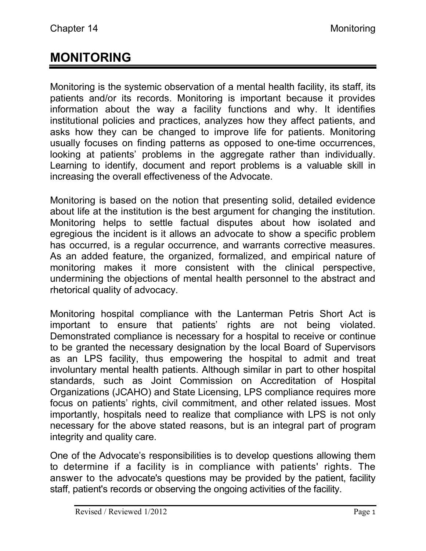# **MONITORING**

Monitoring is the systemic observation of a mental health facility, its staff, its patients and/or its records. Monitoring is important because it provides information about the way a facility functions and why. It identifies institutional policies and practices, analyzes how they affect patients, and asks how they can be changed to improve life for patients. Monitoring usually focuses on finding patterns as opposed to one-time occurrences, looking at patients' problems in the aggregate rather than individually. Learning to identify, document and report problems is a valuable skill in increasing the overall effectiveness of the Advocate.

Monitoring is based on the notion that presenting solid, detailed evidence about life at the institution is the best argument for changing the institution. Monitoring helps to settle factual disputes about how isolated and egregious the incident is it allows an advocate to show a specific problem has occurred, is a regular occurrence, and warrants corrective measures. As an added feature, the organized, formalized, and empirical nature of monitoring makes it more consistent with the clinical perspective, undermining the objections of mental health personnel to the abstract and rhetorical quality of advocacy.

Monitoring hospital compliance with the Lanterman Petris Short Act is important to ensure that patients' rights are not being violated. Demonstrated compliance is necessary for a hospital to receive or continue to be granted the necessary designation by the local Board of Supervisors as an LPS facility, thus empowering the hospital to admit and treat involuntary mental health patients. Although similar in part to other hospital standards, such as Joint Commission on Accreditation of Hospital Organizations (JCAHO) and State Licensing, LPS compliance requires more focus on patients' rights, civil commitment, and other related issues. Most importantly, hospitals need to realize that compliance with LPS is not only necessary for the above stated reasons, but is an integral part of program integrity and quality care.

One of the Advocate's responsibilities is to develop questions allowing them to determine if a facility is in compliance with patients' rights. The answer to the advocate's questions may be provided by the patient, facility staff, patient's records or observing the ongoing activities of the facility.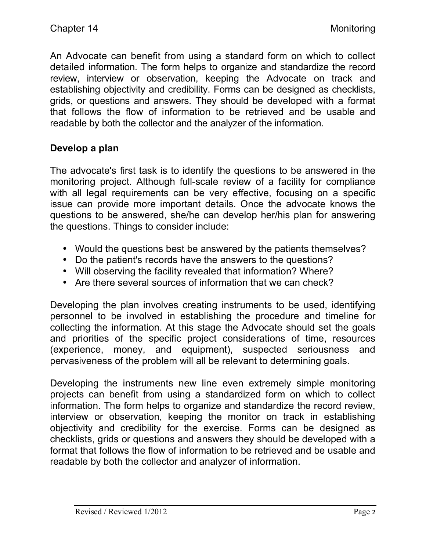An Advocate can benefit from using a standard form on which to collect detailed information. The form helps to organize and standardize the record review, interview or observation, keeping the Advocate on track and establishing objectivity and credibility. Forms can be designed as checklists, grids, or questions and answers. They should be developed with a format that follows the flow of information to be retrieved and be usable and readable by both the collector and the analyzer of the information.

### **Develop a plan**

The advocate's first task is to identify the questions to be answered in the monitoring project. Although full-scale review of a facility for compliance with all legal requirements can be very effective, focusing on a specific issue can provide more important details. Once the advocate knows the questions to be answered, she/he can develop her/his plan for answering the questions. Things to consider include:

- Would the questions best be answered by the patients themselves?
- Do the patient's records have the answers to the questions?
- Will observing the facility revealed that information? Where?
- Are there several sources of information that we can check?

Developing the plan involves creating instruments to be used, identifying personnel to be involved in establishing the procedure and timeline for collecting the information. At this stage the Advocate should set the goals and priorities of the specific project considerations of time, resources (experience, money, and equipment), suspected seriousness and pervasiveness of the problem will all be relevant to determining goals.

Developing the instruments new line even extremely simple monitoring projects can benefit from using a standardized form on which to collect information. The form helps to organize and standardize the record review, interview or observation, keeping the monitor on track in establishing objectivity and credibility for the exercise. Forms can be designed as checklists, grids or questions and answers they should be developed with a format that follows the flow of information to be retrieved and be usable and readable by both the collector and analyzer of information.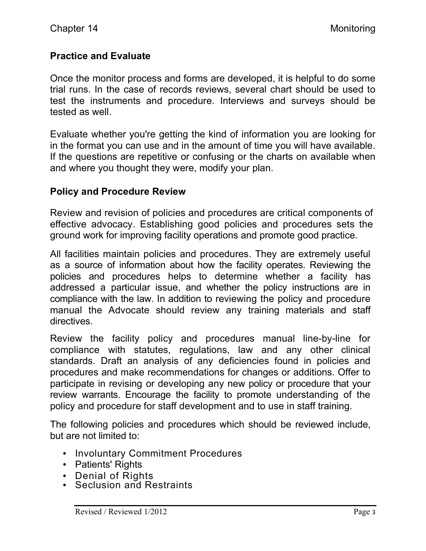# **Practice and Evaluate**

Once the monitor process and forms are developed, it is helpful to do some trial runs. In the case of records reviews, several chart should be used to test the instruments and procedure. Interviews and surveys should be tested as well.

Evaluate whether you're getting the kind of information you are looking for in the format you can use and in the amount of time you will have available. If the questions are repetitive or confusing or the charts on available when and where you thought they were, modify your plan.

### **Policy and Procedure Review**

Review and revision of policies and procedures are critical components of effective advocacy. Establishing good policies and procedures sets the ground work for improving facility operations and promote good practice.

All facilities maintain policies and procedures. They are extremely useful as a source of information about how the facility operates. Reviewing the policies and procedures helps to determine whether a facility has addressed a particular issue, and whether the policy instructions are in compliance with the law. In addition to reviewing the policy and procedure manual the Advocate should review any training materials and staff directives.

Review the facility policy and procedures manual line-by-line for compliance with statutes, regulations, law and any other clinical standards. Draft an analysis of any deficiencies found in policies and procedures and make recommendations for changes or additions. Offer to participate in revising or developing any new policy or procedure that your review warrants. Encourage the facility to promote understanding of the policy and procedure for staff development and to use in staff training.

The following policies and procedures which should be reviewed include, but are not limited to:

- Involuntary Commitment Procedures
- Patients' Rights
- Denial of Rights
- Seclusion and Restraints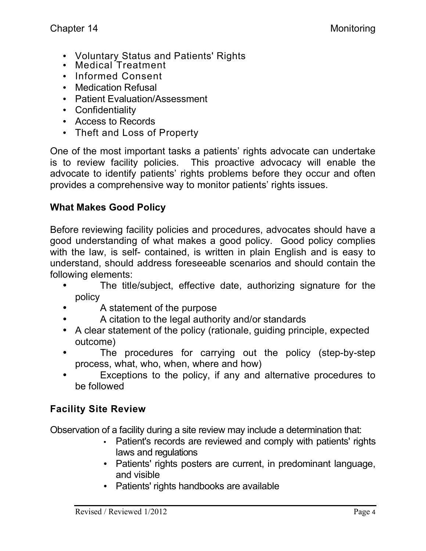- Voluntary Status and Patients' Rights
- Medical Treatment
- Informed Consent
- Medication Refusal
- Patient Evaluation/Assessment
- Confidentiality
- Access to Records
- Theft and Loss of Property

One of the most important tasks a patients' rights advocate can undertake is to review facility policies. This proactive advocacy will enable the advocate to identify patients' rights problems before they occur and often provides a comprehensive way to monitor patients' rights issues.

# **What Makes Good Policy**

Before reviewing facility policies and procedures, advocates should have a good understanding of what makes a good policy. Good policy complies with the law, is self- contained, is written in plain English and is easy to understand, should address foreseeable scenarios and should contain the following elements:

- The title/subject, effective date, authorizing signature for the policy
- A statement of the purpose
- A citation to the legal authority and/or standards
- A clear statement of the policy (rationale, guiding principle, expected outcome)
- The procedures for carrying out the policy (step-by-step process, what, who, when, where and how)
- Exceptions to the policy, if any and alternative procedures to be followed

# **Facility Site Review**

Observation of a facility during a site review may include a determination that:

- Patient's records are reviewed and comply with patients' rights laws and regulations
- Patients' rights posters are current, in predominant language, and visible
- Patients' rights handbooks are available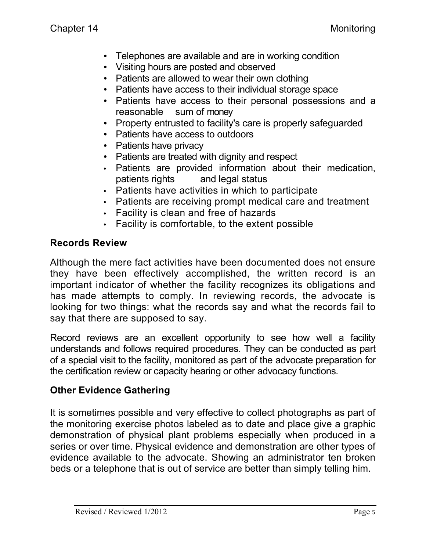- Telephones are available and are in working condition
- Visiting hours are posted and observed
- Patients are allowed to wear their own clothing
- Patients have access to their individual storage space
- Patients have access to their personal possessions and a reasonable sum of money
- Property entrusted to facility's care is properly safeguarded
- Patients have access to outdoors
- Patients have privacy
- Patients are treated with dignity and respect
- Patients are provided information about their medication, patients rights and legal status
- Patients have activities in which to participate
- Patients are receiving prompt medical care and treatment
- Facility is clean and free of hazards
- Facility is comfortable, to the extent possible

### **Records Review**

Although the mere fact activities have been documented does not ensure they have been effectively accomplished, the written record is an important indicator of whether the facility recognizes its obligations and has made attempts to comply. In reviewing records, the advocate is looking for two things: what the records say and what the records fail to say that there are supposed to say.

Record reviews are an excellent opportunity to see how well a facility understands and follows required procedures. They can be conducted as part of a special visit to the facility, monitored as part of the advocate preparation for the certification review or capacity hearing or other advocacy functions.

# **Other Evidence Gathering**

It is sometimes possible and very effective to collect photographs as part of the monitoring exercise photos labeled as to date and place give a graphic demonstration of physical plant problems especially when produced in a series or over time. Physical evidence and demonstration are other types of evidence available to the advocate. Showing an administrator ten broken beds or a telephone that is out of service are better than simply telling him.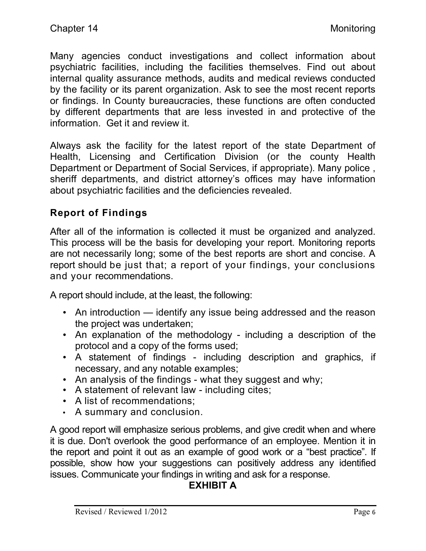Many agencies conduct investigations and collect information about psychiatric facilities, including the facilities themselves. Find out about internal quality assurance methods, audits and medical reviews conducted by the facility or its parent organization. Ask to see the most recent reports or findings. In County bureaucracies, these functions are often conducted by different departments that are less invested in and protective of the information. Get it and review it.

Always ask the facility for the latest report of the state Department of Health, Licensing and Certification Division (or the county Health Department or Department of Social Services, if appropriate). Many police , sheriff departments, and district attorney's offices may have information about psychiatric facilities and the deficiencies revealed.

# **Report of Findings**

After all of the information is collected it must be organized and analyzed. This process will be the basis for developing your report. Monitoring reports are not necessarily long; some of the best reports are short and concise. A report should be just that; a report of your findings, your conclusions and your recommendations.

A report should include, at the least, the following:

- An introduction identify any issue being addressed and the reason the project was undertaken;
- An explanation of the methodology including a description of the protocol and a copy of the forms used;
- A statement of findings including description and graphics, if necessary, and any notable examples;
- An analysis of the findings what they suggest and why;
- A statement of relevant law including cites;
- A list of recommendations;
- A summary and conclusion.

A good report will emphasize serious problems, and give credit when and where it is due. Don't overlook the good performance of an employee. Mention it in the report and point it out as an example of good work or a "best practice". If possible, show how your suggestions can positively address any identified issues. Communicate your findings in writing and ask for a response.

# **EXHIBIT A**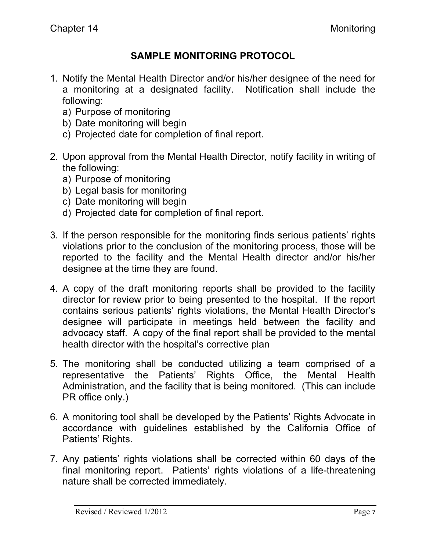# **SAMPLE MONITORING PROTOCOL**

- 1. Notify the Mental Health Director and/or his/her designee of the need for a monitoring at a designated facility. Notification shall include the following:
	- a) Purpose of monitoring
	- b) Date monitoring will begin
	- c) Projected date for completion of final report.
- 2. Upon approval from the Mental Health Director, notify facility in writing of the following:
	- a) Purpose of monitoring
	- b) Legal basis for monitoring
	- c) Date monitoring will begin
	- d) Projected date for completion of final report.
- 3. If the person responsible for the monitoring finds serious patients' rights violations prior to the conclusion of the monitoring process, those will be reported to the facility and the Mental Health director and/or his/her designee at the time they are found.
- 4. A copy of the draft monitoring reports shall be provided to the facility director for review prior to being presented to the hospital. If the report contains serious patients' rights violations, the Mental Health Director's designee will participate in meetings held between the facility and advocacy staff. A copy of the final report shall be provided to the mental health director with the hospital's corrective plan
- 5. The monitoring shall be conducted utilizing a team comprised of a representative the Patients' Rights Office, the Mental Health Administration, and the facility that is being monitored. (This can include PR office only.)
- 6. A monitoring tool shall be developed by the Patients' Rights Advocate in accordance with guidelines established by the California Office of Patients' Rights.
- 7. Any patients' rights violations shall be corrected within 60 days of the final monitoring report. Patients' rights violations of a life-threatening nature shall be corrected immediately.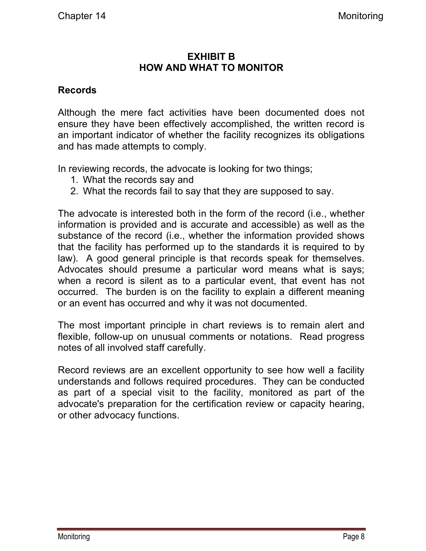### **EXHIBIT B HOW AND WHAT TO MONITOR**

#### **Records**

Although the mere fact activities have been documented does not ensure they have been effectively accomplished, the written record is an important indicator of whether the facility recognizes its obligations and has made attempts to comply.

In reviewing records, the advocate is looking for two things;

- 1. What the records say and
- 2. What the records fail to say that they are supposed to say.

The advocate is interested both in the form of the record (i.e., whether information is provided and is accurate and accessible) as well as the substance of the record (i.e., whether the information provided shows that the facility has performed up to the standards it is required to by law). A good general principle is that records speak for themselves. Advocates should presume a particular word means what is says; when a record is silent as to a particular event, that event has not occurred. The burden is on the facility to explain a different meaning or an event has occurred and why it was not documented.

The most important principle in chart reviews is to remain alert and flexible, follow-up on unusual comments or notations. Read progress notes of all involved staff carefully.

Record reviews are an excellent opportunity to see how well a facility understands and follows required procedures. They can be conducted as part of a special visit to the facility, monitored as part of the advocate's preparation for the certification review or capacity hearing, or other advocacy functions.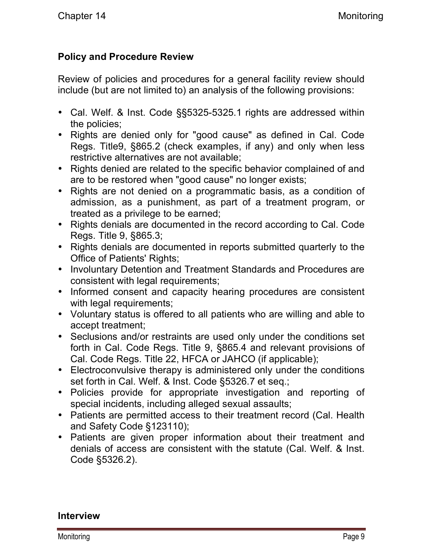# **Policy and Procedure Review**

Review of policies and procedures for a general facility review should include (but are not limited to) an analysis of the following provisions:

- Cal. Welf. & Inst. Code §§5325-5325.1 rights are addressed within the policies;
- Rights are denied only for "good cause" as defined in Cal. Code Regs. Title9, §865.2 (check examples, if any) and only when less restrictive alternatives are not available;
- Rights denied are related to the specific behavior complained of and are to be restored when "good cause" no longer exists;
- Rights are not denied on a programmatic basis, as a condition of admission, as a punishment, as part of a treatment program, or treated as a privilege to be earned;
- Rights denials are documented in the record according to Cal. Code Regs. Title 9, §865.3;
- Rights denials are documented in reports submitted quarterly to the Office of Patients' Rights;
- Involuntary Detention and Treatment Standards and Procedures are consistent with legal requirements;
- Informed consent and capacity hearing procedures are consistent with legal requirements;
- Voluntary status is offered to all patients who are willing and able to accept treatment;
- Seclusions and/or restraints are used only under the conditions set forth in Cal. Code Regs. Title 9, §865.4 and relevant provisions of Cal. Code Regs. Title 22, HFCA or JAHCO (if applicable);
- Electroconvulsive therapy is administered only under the conditions set forth in Cal. Welf. & Inst. Code §5326.7 et seq.;
- Policies provide for appropriate investigation and reporting of special incidents, including alleged sexual assaults;
- Patients are permitted access to their treatment record (Cal. Health and Safety Code §123110);
- Patients are given proper information about their treatment and denials of access are consistent with the statute (Cal. Welf. & Inst. Code §5326.2).

#### **Interview**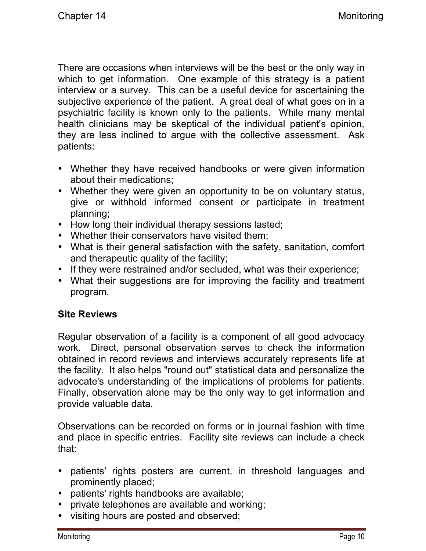There are occasions when interviews will be the best or the only way in which to get information. One example of this strategy is a patient interview or a survey. This can be a useful device for ascertaining the subjective experience of the patient. A great deal of what goes on in a psychiatric facility is known only to the patients. While many mental health clinicians may be skeptical of the individual patient's opinion, they are less inclined to argue with the collective assessment. Ask patients:

- Whether they have received handbooks or were given information about their medications;
- Whether they were given an opportunity to be on voluntary status, give or withhold informed consent or participate in treatment planning;
- How long their individual therapy sessions lasted;
- Whether their conservators have visited them;
- What is their general satisfaction with the safety, sanitation, comfort and therapeutic quality of the facility;
- If they were restrained and/or secluded, what was their experience;
- What their suggestions are for improving the facility and treatment program.

# **Site Reviews**

Regular observation of a facility is a component of all good advocacy work. Direct, personal observation serves to check the information obtained in record reviews and interviews accurately represents life at the facility. It also helps "round out" statistical data and personalize the advocate's understanding of the implications of problems for patients. Finally, observation alone may be the only way to get information and provide valuable data.

Observations can be recorded on forms or in journal fashion with time and place in specific entries. Facility site reviews can include a check that:

- patients' rights posters are current, in threshold languages and prominently placed;
- patients' rights handbooks are available;
- private telephones are available and working;
- visiting hours are posted and observed;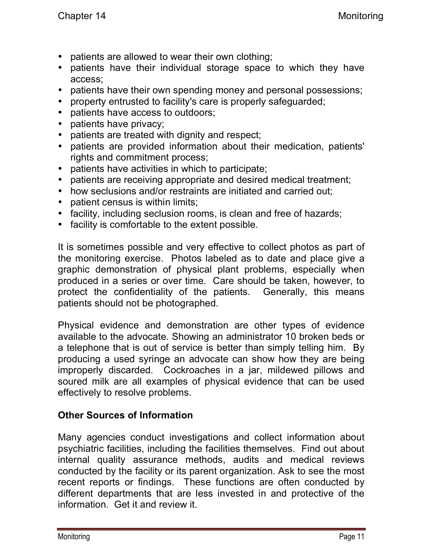- patients are allowed to wear their own clothing;
- patients have their individual storage space to which they have access;
- patients have their own spending money and personal possessions;
- property entrusted to facility's care is properly safeguarded;
- patients have access to outdoors;
- patients have privacy;
- patients are treated with dignity and respect;
- patients are provided information about their medication, patients' rights and commitment process;
- patients have activities in which to participate;
- patients are receiving appropriate and desired medical treatment;
- how seclusions and/or restraints are initiated and carried out;
- patient census is within limits;
- facility, including seclusion rooms, is clean and free of hazards;
- facility is comfortable to the extent possible.

It is sometimes possible and very effective to collect photos as part of the monitoring exercise. Photos labeled as to date and place give a graphic demonstration of physical plant problems, especially when produced in a series or over time. Care should be taken, however, to protect the confidentiality of the patients. Generally, this means patients should not be photographed.

Physical evidence and demonstration are other types of evidence available to the advocate. Showing an administrator 10 broken beds or a telephone that is out of service is better than simply telling him. By producing a used syringe an advocate can show how they are being improperly discarded. Cockroaches in a jar, mildewed pillows and soured milk are all examples of physical evidence that can be used effectively to resolve problems.

### **Other Sources of Information**

Many agencies conduct investigations and collect information about psychiatric facilities, including the facilities themselves. Find out about internal quality assurance methods, audits and medical reviews conducted by the facility or its parent organization. Ask to see the most recent reports or findings. These functions are often conducted by different departments that are less invested in and protective of the information. Get it and review it.